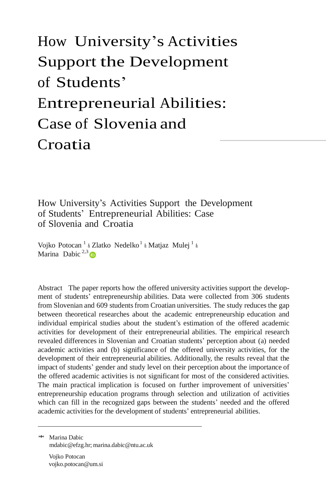# How [University's](https://www.researchgate.net/publication/307854811_How_University%27s_Activities_Support_the_Development_of_Students%27_Entrepreneurial_Abilities_Case_of_Slovenia_and_Croatia?enrichId=rgreq-5c46cb5144274ee258ba28d7c9cc0d7d-XXX&enrichSource=Y292ZXJQYWdlOzMwNzg1NDgxMTtBUzo0MDY2NjI1MjQ0ODk3MzJAMTQ3Mzk2NzMwOTk0Nw%3D%3D&el=1_x_3&_esc=publicationCoverPdf) Activities [Support](https://www.researchgate.net/publication/307854811_How_University%27s_Activities_Support_the_Development_of_Students%27_Entrepreneurial_Abilities_Case_of_Slovenia_and_Croatia?enrichId=rgreq-5c46cb5144274ee258ba28d7c9cc0d7d-XXX&enrichSource=Y292ZXJQYWdlOzMwNzg1NDgxMTtBUzo0MDY2NjI1MjQ0ODk3MzJAMTQ3Mzk2NzMwOTk0Nw%3D%3D&el=1_x_3&_esc=publicationCoverPdf) the Development of Students' Entrepreneurial Abilities: Case of Slovenia and Croatia

# How University's Activities Support the Development of Students' Entrepreneurial Abilities: Case of Slovenia and Croatia

Vojko Potocan<sup>1</sup> & Zlatko Nedelko<sup>1</sup> & Matjaz Mulej<sup>1</sup> & Marina Dabic<sup>2,3</sup>

Abstract The paper reports how the offered university activities support the development of students' entrepreneurship abilities. Data were collected from 306 students from Slovenian and 609 students from Croatian universities. The study reduces the gap between theoretical researches about the academic entrepreneurship education and individual empirical studies about the student's estimation of the offered academic activities for development of their entrepreneurial abilities. The empirical research revealed differences in Slovenian and Croatian students' perception about (a) needed academic activities and (b) significance of the offered university activities, for the development of their entrepreneurial abilities. Additionally, the results reveal that the impact of students' gender and study level on their perception about the importance of the offered academic activities is not significant for most of the considered activities. The main practical implication is focused on further improvement of universities' entrepreneurship education programs through selection and utilization of activities which can fill in the recognized gaps between the students' needed and the offered academic activities for the development of students' entrepreneurial abilities.

\* Marina Dabic [mdabic@efzg.hr](mailto:mdabic@efzg.hr); mari[na.dabic@ntu.ac.uk](mailto:dabic@ntu.ac.uk)

Vojko Potocan voj[ko.potocan@um.si](mailto:potocan@um.si)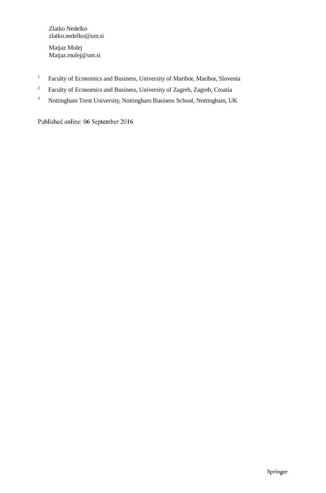Zlatko Nedelko zlatk[o.nedelko@um.si](mailto:nedelko@um.si)

Matjaz Mulej Matja[z.mulej@um.si](mailto:mulej@um.si)

- <sup>1</sup> Faculty of Economics and Business, University of Maribor, Maribor, Slovenia
- <sup>2</sup> Faculty of Economics and Business, University of Zagreb, Zagreb, Croatia
- <sup>3</sup> Nottingham Trent University, Nottingham Business School, Nottingham, UK

Published online: 06 September 2016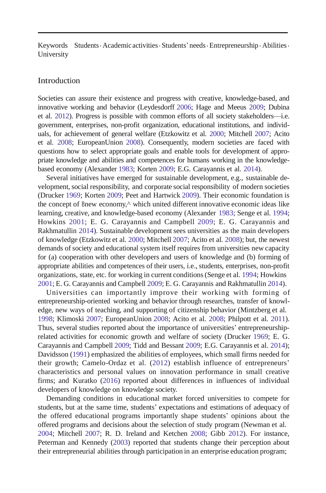Keywords Students · Academic activities · Students' needs · Entrepreneurship · Abilities · University

#### Introduction

Societies can assure their existence and progress with creative, knowledge-based, and innovative working and behavior (Leydesdorff 2006; Hage and Meeus 2009; Dubina et al. 2012). Progress is possible with common efforts of all society stakeholders—i.e. government, enterprises, non-profit organization, educational institutions, and individuals, for achievement of general welfare (Etzkowitz et al. 2000; Mitchell 2007; Acito et al. 2008; EuropeanUnion 2008). Consequently, modern societies are faced with questions how to select appropriate goals and enable tools for development of appropriate knowledge and abilities and competences for humans working in the knowledgebased economy (Alexander 1983; Korten 2009; E.G. Carayannis et al. 2014).

Several initiatives have emerged for sustainable development, e.g., sustainable development,social responsibility, and corporate social responsibility of modern societies (Drucker 1969; Korten 2009; Peet and Hartwick 2009). Their economic foundation is the concept of Bnew economy,<sup> $\wedge$ </sup> which united different innovative economic ideas like learning, creative, and knowledge-based economy (Alexander 1983; Senge et al. 1994; Howkins 2001; E. G. Carayannis and Campbell 2009; E. G. Carayannis and Rakhmatullin 2014). Sustainable development sees universities as the main developers of knowledge (Etzkowitz et al. 2000; Mitchell 2007; Acito et al. 2008); but, the newest demands of society and educational system itself requires from universities new capacity for (a) cooperation with other developers and users of knowledge and (b) forming of appropriate abilities and competences of their users, i.e., students, enterprises, non-profit organizations, state, etc. for working in current conditions(Senge et al. 1994; Howkins 2001; E. G. Carayannis and Campbell 2009; E. G. Carayannis and Rakhmatullin 2014).

Universities can importantly improve their working with forming of entrepreneurship-oriented working and behavior through researches, transfer of knowledge, new ways of teaching, and supporting of citizenship behavior (Mintzberg et al. 1998; Klimoski 2007; EuropeanUnion 2008; Acito et al. 2008; Philpott et al. 2011). Thus, several studies reported about the importance of universities' entrepreneurshiprelated activities for economic growth and welfare of society (Drucker 1969; E. G. Carayannis and Campbell 2009; Tidd and Bessant 2009; E.G. Carayannis et al. 2014); Davidsson (1991) emphasized the abilities of employees, which small firms needed for their growth; Camelo-Ordaz et al. (2012) establish influence of entrepreneurs' characteristics and personal values on innovation performance in small creative firms; and Kuratko (2016) reported about differences in influences of individual developers of knowledge on knowledge society.

Demanding conditions in educational market forced universities to compete for students, but at the same time, students' expectations and estimations of adequacy of the offered educational programs importantly shape students' opinions about the offered programs and decisions about the selection of study program (Newman et al. 2004; Mitchell 2007; R. D. Ireland and Ketchen 2008; Gibb 2012). For instance, Peterman and Kennedy (2003) reported that students change their perception about their entrepreneurial abilities through participation in an enterprise education program;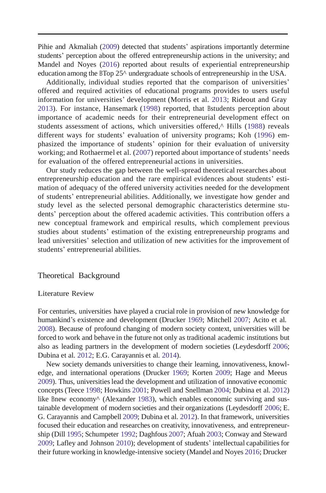Pihie and Akmaliah (2009) detected that students' aspirations importantly determine students' perception about the offered entrepreneurship actions in the university; and Mandel and Noyes (2016) reported about results of experiential entrepreneurship education among the BTop 25^ undergraduate schools of entrepreneurship in the USA.

Additionally, individual studies reported that the comparison of universities' offered and required activities of educational programs provides to users useful information for universities' development (Morris et al. 2013; Rideout and Gray 2013). For instance, Hansemark (1998) reported, that Bstudents perception about importance of academic needs for their entrepreneurial development effect on students assessment of actions, which universities offered,^ Hills (1988) reveals different ways for students' evaluation of university programs; Koh (1996) emphasized the importance of students' opinion for their evaluation of university working; and Rothaermel et al. (2007) reported about importance of students' needs for evaluation of the offered entrepreneurial actions in universities.

Our study reduces the gap between the well-spread theoretical researches about entrepreneurship education and the rare empirical evidences about students' estimation of adequacy of the offered university activities needed for the development of students' entrepreneurial abilities. Additionally, we investigate how gender and study level as the selected personal demographic characteristics determine students' perception about the offered academic activities. This contribution offers a new conceptual framework and empirical results, which complement previous studies about students' estimation of the existing entrepreneurship programs and lead universities' selection and utilization of new activities for the improvement of students' entrepreneurial abilities.

#### Theoretical Background

#### Literature Review

For centuries, universities have played a crucial role in provision of new knowledge for humankind's existence and development (Drucker 1969; Mitchell 2007; Acito et al. 2008). Because of profound changing of modern society context, universities will be forced to work and behave in the future not only as traditional academic institutions but also as leading partners in the development of modern societies (Leydesdorff 2006; Dubina et al. 2012; E.G. Carayannis et al. 2014).

New society demands universities to change their learning, innovativeness, knowledge, and international operations (Drucker 1969; Korten 2009; Hage and Meeus 2009). Thus, universitieslead the development and utilization of innovative economic concepts(Teece 1998; Howkins 2001; Powell and Snellman 2004; Dubina et al. 2012) like Bnew economy<sup> $\land$ </sup> (Alexander 1983), which enables economic surviving and sustainable development of modern societies and their organizations (Leydesdorff 2006; E. G. Carayannis and Campbell 2009; Dubina et al. 2012). In that framework, universities focused their education and researches on creativity, innovativeness, and entrepreneurship (Dill 1995; Schumpeter 1992; Daghfous 2007; Afuah 2003; Conway and Steward 2009; Lafley and Johnson 2010); development of students' intellectual capabilities for their future working in knowledge-intensive society (Mandel and Noyes 2016; Drucker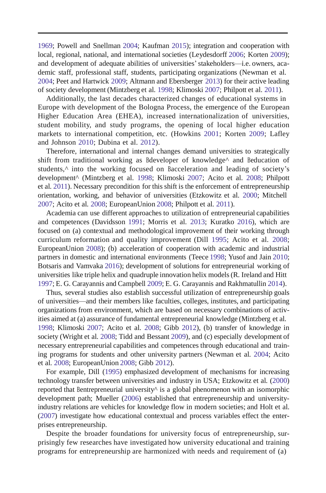1969; Powell and Snellman 2004; Kaufman 2015); integration and cooperation with local, regional, national, and international societies (Leydesdorff 2006; Korten 2009); and development of adequate abilities of universities'stakeholders—i.e. owners, academic staff, professional staff, students, participating organizations (Newman et al. 2004; Peet and Hartwick 2009; Altmann and Ebersberger 2013) for their active leading of society development (Mintzberg et al. 1998; Klimoski 2007; Philpott et al. 2011).

Additionally, the last decades characterized changes of educational systems in Europe with development of the Bologna Process, the emergence of the European Higher Education Area (EHEA), increased internationalization of universities, student mobility, and study programs, the opening of local higher education markets to international competition, etc. (Howkins 2001; Korten 2009; Lafley and Johnson 2010; Dubina et al. 2012).

Therefore, international and internal changes demand universities to strategically shift from traditional working as Bdeveloper of knowledge^ and Beducation of students,^ into the working focused on Bacceleration and leading of society's development^ (Mintzberg et al. 1998; Klimoski 2007; Acito et al. 2008; Philpott et al. 2011). Necessary precondition for this shift is the enforcement of entrepreneurship orientation, working, and behavior of universities (Etzkowitz et al. 2000; Mitchell 2007; Acito et al. 2008; EuropeanUnion 2008; Philpott et al. 2011).

Academia can use different approaches to utilization of entrepreneurial capabilities and competences (Davidsson 1991; Morris et al. 2013; Kuratko 2016), which are focused on (a) contextual and methodological improvement of their working through curriculum reformation and quality improvement (Dill 1995; Acito et al. 2008; EuropeanUnion 2008); (b) acceleration of cooperation with academic and industrial partners in domestic and international environments (Teece 1998; Yusof and Jain 2010; Botsaris and Vamvaka 2016); development of solutions for entrepreneurial working of universities like triple helix and quadruple innovation helix models(R. Ireland and Hitt 1997; E. G. Carayannis and Campbell 2009; E. G. Carayannis and Rakhmatullin 2014).

Thus, several studies also establish successful utilization of entrepreneurship goals of universities—and their members like faculties, colleges, institutes, and participating organizations from environment, which are based on necessary combinations of activities aimed at (a) assurance of fundamental entrepreneurial knowledge (Mintzberg et al. 1998; Klimoski 2007; Acito et al. 2008; Gibb 2012), (b) transfer of knowledge in society (Wright et al. 2008; Tidd and Bessant 2009), and (c) especially development of necessary entrepreneurial capabilities and competences through educational and training programs for students and other university partners (Newman et al. 2004; Acito et al. 2008; EuropeanUnion 2008; Gibb 2012).

For example, Dill (1995) emphasized development of mechanisms for increasing technology transfer between universities and industry in USA; Etzkowitz et al. (2000) reported that Bentrepreneurial university $\wedge$  is a global phenomenon with an isomorphic development path; Mueller (2006) established that entrepreneurship and universityindustry relations are vehicles for knowledge flow in modern societies; and Holt et al. (2007) investigate how educational contextual and process variables effect the enterprises entrepreneurship.

Despite the broader foundations for university focus of entrepreneurship, surprisingly few researches have investigated how university educational and training programs for entrepreneurship are harmonized with needs and requirement of (a)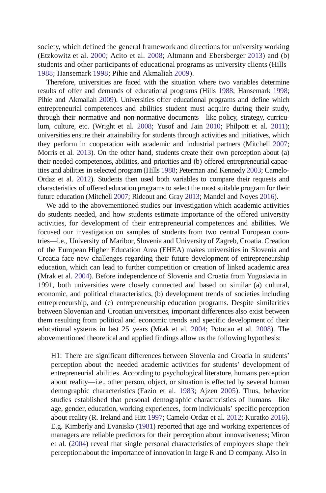society, which defined the general framework and directions for university working (Etzkowitz et al. 2000; Acito et al. 2008; Altmann and Ebersberger 2013) and (b) students and other participants of educational programs as university clients (Hills 1988; Hansemark 1998; Pihie and Akmaliah 2009).

Therefore, universities are faced with the situation where two variables determine results of offer and demands of educational programs (Hills 1988; Hansemark 1998; Pihie and Akmaliah 2009). Universities offer educational programs and define which entrepreneurial competences and abilities student must acquire during their study, through their normative and non-normative documents—like policy, strategy, curriculum, culture, etc. (Wright et al. 2008; Yusof and Jain 2010; Philpott et al. 2011); universities ensure their attainability for students through activities and initiatives, which they perform in cooperation with academic and industrial partners (Mitchell 2007; Morris et al. 2013). On the other hand, students create their own perception about (a) their needed competences, abilities, and priorities and (b) offered entrepreneurial capacities and abilities in selected program (Hills 1988; Peterman and Kennedy 2003; Camelo-Ordaz et al. 2012). Students then used both variables to compare their requests and characteristics of offered education programsto select the most suitable program for their future education (Mitchell 2007; Rideout and Gray 2013; Mandel and Noyes 2016).

We add to the abovementioned studies our investigation which academic activities do students needed, and how students estimate importance of the offered university activities, for development of their entrepreneurial competences and abilities. We focused our investigation on samples of students from two central European countries—i.e., University of Maribor, Slovenia and University of Zagreb, Croatia. Creation of the European Higher Education Area (EHEA) makes universities in Slovenia and Croatia face new challenges regarding their future development of entrepreneurship education, which can lead to further competition or creation of linked academic area (Mrak et al. 2004). Before independence of Slovenia and Croatia from Yugoslavia in 1991, both universities were closely connected and based on similar (a) cultural, economic, and political characteristics, (b) development trends of societies including entrepreneurship, and (c) entrepreneurship education programs. Despite similarities between Slovenian and Croatian universities, important differences also exist between them resulting from political and economic trends and specific development of their educational systems in last 25 years (Mrak et al. 2004; Potocan et al. 2008). The abovementioned theoretical and applied findings allow us the following hypothesis:

H1: There are significant differences between Slovenia and Croatia in students' perception about the needed academic activities for students' development of entrepreneurial abilities. According to psychological literature, humans perception about reality—i.e., other person, object, or situation is effected by several human demographic characteristics (Fazio et al. 1983; Ajzen 2005). Thus, behavior studies established that personal demographic characteristics of humans—like age, gender, education, working experiences, form individuals' specific perception about reality (R. Ireland and Hitt 1997; Camelo-Ordaz et al. 2012; Kuratko 2016). E.g. Kimberly and Evanisko (1981) reported that age and working experiences of managers are reliable predictors for their perception about innovativeness; Miron et al. (2004) reveal that single personal characteristics of employees shape their perception about the importance of innovation in large R and D company. Also in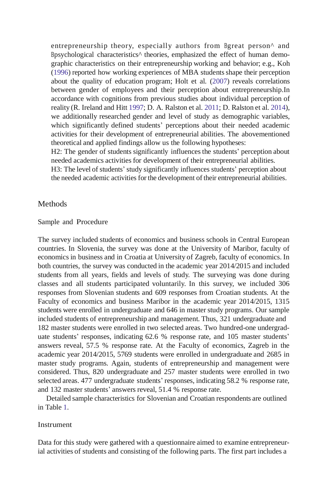entrepreneurship theory, especially authors from Bgreat person^ and Bpsychological characteristics^ theories, emphasized the effect of human demographic characteristics on their entrepreneurship working and behavior; e.g., Koh (1996) reported how working experiences of MBA studentsshape their perception about the quality of education program; Holt et al. (2007) reveals correlations between gender of employees and their perception about entrepreneurship.In accordance with cognitions from previous studies about individual perception of reality (R. Ireland and Hitt 1997; D. A. Ralston et al. 2011; D. Ralston et al. 2014), we additionally researched gender and level of study as demographic variables, which significantly defined students' perceptions about their needed academic activities for their development of entrepreneurial abilities. The abovementioned theoretical and applied findings allow us the following hypotheses:

H2: The gender of students significantly influences the students' perception about needed academics activities for development of their entrepreneurial abilities.

H3: The level of students' study significantly influences students' perception about the needed academic activities for the development of their entrepreneurial abilities.

### **Methods**

#### Sample and Procedure

The survey included students of economics and business schools in Central European countries. In Slovenia, the survey was done at the University of Maribor, faculty of economics in business and in Croatia at University of Zagreb, faculty of economics. In both countries, the survey was conducted in the academic year 2014/2015 and included students from all years, fields and levels of study. The surveying was done during classes and all students participated voluntarily. In this survey, we included 306 responses from Slovenian students and 609 responses from Croatian students. At the Faculty of economics and business Maribor in the academic year 2014/2015, 1315 students were enrolled in undergraduate and 646 in masterstudy programs. Our sample included students of entrepreneurship and management. Thus, 321 undergraduate and 182 master students were enrolled in two selected areas. Two hundred-one undergraduate students' responses, indicating 62.6 % response rate, and 105 master students' answers reveal, 57.5 % response rate. At the Faculty of economics, Zagreb in the academic year 2014/2015, 5769 students were enrolled in undergraduate and 2685 in master study programs. Again, students of entrepreneurship and management were considered. Thus, 820 undergraduate and 257 master students were enrolled in two selected areas. 477 undergraduate students' responses, indicating 58.2 % response rate, and 132 master students' answers reveal, 51.4 % response rate.

Detailed sample characteristics for Slovenian and Croatian respondents are outlined in Table 1.

#### Instrument

Data for this study were gathered with a questionnaire aimed to examine entrepreneurial activities of students and consisting of the following parts. The first part includes a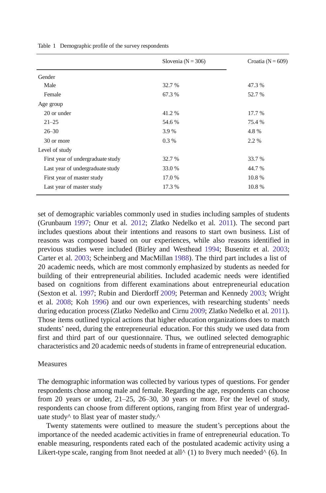|                                   | Slovenia ( $N = 306$ ) | Croatia ( $N = 609$ ) |
|-----------------------------------|------------------------|-----------------------|
| Gender                            |                        |                       |
| Male                              | 32.7 %                 | 47.3 %                |
| Female                            | 67.3 %                 | 52.7 %                |
| Age group                         |                        |                       |
| 20 or under                       | 41.2%                  | 17.7 %                |
| $21 - 25$                         | 54.6 %                 | 75.4 %                |
| $26 - 30$                         | 3.9 %                  | 4.8%                  |
| 30 or more                        | $0.3\%$                | 2.2 %                 |
| Level of study                    |                        |                       |
| First year of undergraduate study | 32.7 %                 | 33.7 %                |
| Last year of undergraduate study  | 33.0 %                 | 44.7 %                |
| First year of master study        | 17.0 %                 | 10.8%                 |
| Last year of master study         | 17.3 %                 | 10.8%                 |

Table 1 Demographic profile of the survey respondents

set of demographic variables commonly used in studies including samples of students (Grunbaum 1997; Onur et al. 2012; Zlatko Nedelko et al. 2011). The second part includes questions about their intentions and reasons to start own business. List of reasons was composed based on our experiences, while also reasons identified in previous studies were included (Birley and Westhead 1994; Busenitz et al. 2003; Carter et al. 2003; Scheinberg and MacMillan 1988). The third part includes a list of 20 academic needs, which are most commonly emphasized by students as needed for building of their entrepreneurial abilities. Included academic needs were identified based on cognitions from different examinations about entrepreneurial education (Sexton et al. 1997; Rubin and Dierdorff 2009; Peterman and Kennedy 2003; Wright et al. 2008; Koh 1996) and our own experiences, with researching students' needs during education process(Zlatko Nedelko and Cirnu 2009; Zlatko Nedelko et al. 2011). Those items outlined typical actions that higher education organizations does to match students' need, during the entrepreneurial education. For this study we used data from first and third part of our questionnaire. Thus, we outlined selected demographic characteristics and 20 academic needs of students in frame of entrepreneurial education.

#### Measures

The demographic information was collected by various types of questions. For gender respondents chose among male and female. Regarding the age, respondents can choose from 20 years or under, 21–25, 26–30, 30 years or more. For the level of study, respondents can choose from different options, ranging from Bfirst year of undergraduate study<sup> $\land$ </sup> to Blast year of master study.<sup> $\land$ </sup>

Twenty statements were outlined to measure the student's perceptions about the importance of the needed academic activitiesin frame of entrepreneurial education. To enable measuring, respondents rated each of the postulated academic activity using a Likert-type scale, ranging from Bnot needed at all<sup> $\wedge$ </sup> (1) to Bvery much needed $\wedge$  (6). In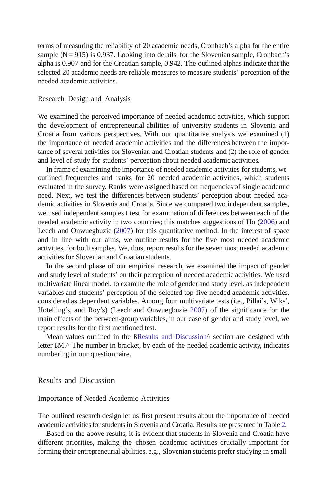terms of measuring the reliability of 20 academic needs, Cronbach's alpha for the entire sample  $(N = 915)$  is 0.937. Looking into details, for the Slovenian sample, Cronbach's alpha is 0.907 and for the Croatian sample, 0.942. The outlined alphas indicate that the selected 20 academic needs are reliable measures to measure students' perception of the needed academic activities.

#### Research Design and Analysis

We examined the perceived importance of needed academic activities, which support the development of entrepreneurial abilities of university students in Slovenia and Croatia from various perspectives. With our quantitative analysis we examined (1) the importance of needed academic activities and the differences between the importance of several activities for Slovenian and Croatian students and (2) the role of gender and level of study for students' perception about needed academic activities.

In frame of examining the importance of needed academic activities for students, we outlined frequencies and ranks for 20 needed academic activities, which students evaluated in the survey. Ranks were assigned based on frequencies of single academic need. Next, we test the differences between students' perception about needed academic activities in Slovenia and Croatia. Since we compared two independent samples, we used independent samples t test for examination of differences between each of the needed academic activity in two countries; this matches suggestions of Ho (2006) and Leech and Onwuegbuzie (2007) for this quantitative method. In the interest of space and in line with our aims, we outline results for the five most needed academic activities, for both samples. We, thus, report resultsfor the seven most needed academic activities for Slovenian and Croatian students.

In the second phase of our empirical research, we examined the impact of gender and study level of students' on their perception of needed academic activities. We used multivariate linear model, to examine the role of gender and study level, as independent variables and students' perception of the selected top five needed academic activities, considered as dependent variables. Among four multivariate tests (i.e., Pillai's, Wiks', Hotelling's, and Roy's) (Leech and Onwuegbuzie 2007) of the significance for the main effects of the between-group variables, in our case of gender and study level, we report results for the first mentioned test.

Mean values outlined in the BResults and Discussion<sup>^</sup> section are designed with letter BM.^ The number in bracket, by each of the needed academic activity, indicates numbering in our questionnaire.

Results and Discussion

#### Importance of Needed Academic Activities

The outlined research design let us first present results about the importance of needed academic activitiesfor studentsin Slovenia and Croatia. Results are presented in Table 2.

Based on the above results, it is evident that students in Slovenia and Croatia have different priorities, making the chosen academic activities crucially important for forming their entrepreneurial abilities. e.g., Slovenian students prefer studying in small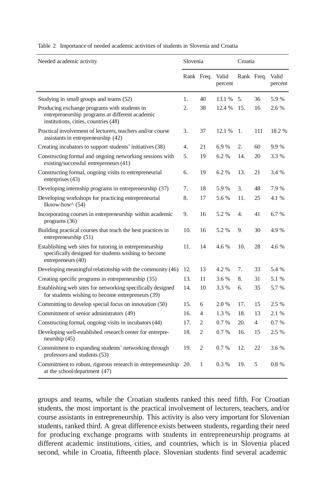| Needed academic activity                                                                                                                | Slovenia |                | Croatia          |            |     |                  |
|-----------------------------------------------------------------------------------------------------------------------------------------|----------|----------------|------------------|------------|-----|------------------|
|                                                                                                                                         |          | Rank Freq.     | Valid<br>percent | Rank Freq. |     | Valid<br>percent |
| Studying in small groups and teams (52)                                                                                                 | 1.       | 40             | 13.1 %           | 5.         | 36  | 5.9%             |
| Producing exchange programs with students in<br>entrepreneurship programs at different academic<br>institutions, cities, countries (48) | 2.       | 38             | 12.4 %           | 15.        | 16  | 2.6 %            |
| Practical involvement of lecturers, teachers and/or course<br>assistants in entrepreneurship (42)                                       | 3.       | 37             | 12.1 %           | 1.         | 111 | 18.2 %           |
| Creating incubators to support students' initiatives (38)                                                                               | 4.       | 21             | 6.9%             | 2.         | 60  | 9.9%             |
| Constructing formal and ongoing networking sessions with<br>existing/successful entrepreneurs (41)                                      | 5.       | 19             | 6.2%             | 14.        | 20  | 3.3 %            |
| Constructing formal, ongoing visits to entrepreneurial<br>enterprises (43)                                                              | 6.       | 19             | 6.2%             | 13.        | 21  | 3.4 %            |
| Developing internship programs in entrepreneurship (37)                                                                                 | 7.       | 18             | 5.9%             | 3.         | 48  | 7.9%             |
| Developing workshops for practicing entrepreneurial<br>Bknow-how^ (54)                                                                  | 8.       | 17             | 5.6 %            | 11.        | 25  | 4.1 %            |
| Incorporating courses in entrepreneurship within academic<br>programs (36)                                                              | 9.       | 16             | 5.2 %            | 4.         | 41  | 6.7 %            |
| Building practical courses that teach the best practices in<br>entrepreneurship (51)                                                    | 10.      | 16             | 5.2 %            | 9.         | 30  | 4.9%             |
| Establishing web sites for tutoring in entrepreneurship<br>specifically designed for students wishing to become<br>entrepreneurs (40)   |          | 14             | 4.6 %            | 10.        | 28  | 4.6 %            |
| Developing meaningful relationship with the community (46)                                                                              | 12.      | 13             | 4.2 %            | 7.         | 33  | 5.4 %            |
| Creating specific programs in entrepreneurship (35)                                                                                     | 13.      | 11             | 3.6 %            | 8.         | 31  | 5.1 %            |
| Establishing web sites for networking specifically designed<br>for students wishing to become entrepreneurs (39)                        | 14.      | 10             | 3.3 %            | 6.         | 35  | 5.7 %            |
| Committing to develop special focus on innovation (50)                                                                                  | 15.      | 6              | 2.0 %            | 17.        | 15  | 2.5 %            |
| Commitment of senior administrators (49)                                                                                                | 16.      | 4              | 1.3%             | 18.        | 13  | 2.1 %            |
| Constructing formal, ongoing visits in incubators (44)                                                                                  | 17.      | 2              | 0.7%             | 20.        | 4   | 0.7%             |
| Developing well-established research center for entrepre-<br>neurship (45)                                                              | 18.      | $\overline{c}$ | 0.7%             | 16.        | 15  | 2.5 %            |
| Commitment to expanding students' networking through<br>professors and students (53)                                                    | 19.      | $\overline{c}$ | 0.7%             | 12.        | 22  | 3.6 %            |
| Commitment to robust, rigorous research in entrepreneurship 20.<br>at the school/department (47)                                        |          | $\mathbf{1}$   | 0.3%             | 19.        | 5   | 0.8%             |

Table 2 Importance of needed academic activities of students in Slovenia and Croatia

groups and teams, while the Croatian students ranked this need fifth. For Croatian students, the most important is the practical involvement of lecturers, teachers, and/or course assistants in entrepreneurship. This activity is also very important for Slovenian students, ranked third. A great difference exists between students, regarding their need for producing exchange programs with students in entrepreneurship programs at different academic institutions, cities, and countries, which is in Slovenia placed second, while in Croatia, fifteenth place. Slovenian students find several academic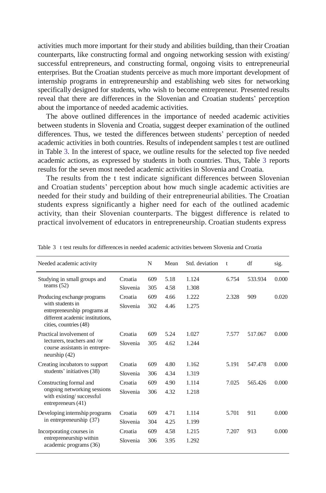activities much more important for their study and abilities building, than their Croatian counterparts, like constructing formal and ongoing networking session with existing/ successful entrepreneurs, and constructing formal, ongoing visits to entrepreneurial enterprises. But the Croatian students perceive as much more important development of internship programs in entrepreneurship and establishing web sites for networking specifically designed for students, who wish to become entrepreneur. Presented results reveal that there are differences in the Slovenian and Croatian students' perception about the importance of needed academic activities.

The above outlined differences in the importance of needed academic activities between students in Slovenia and Croatia, suggest deeper examination of the outlined differences. Thus, we tested the differences between students' perception of needed academic activities in both countries. Results of independent samples t test are outlined in Table 3. In the interest of space, we outline results for the selected top five needed academic actions, as expressed by students in both countries. Thus, Table 3 reports results for the seven most needed academic activities in Slovenia and Croatia.

The results from the t test indicate significant differences between Slovenian and Croatian students' perception about how much single academic activities are needed for their study and building of their entrepreneurial abilities. The Croatian students express significantly a higher need for each of the outlined academic activity, than their Slovenian counterparts. The biggest difference is related to practical involvement of educators in entrepreneurship. Croatian students express

| Needed academic activity                                                                                                                      |                     | N          | Mean         | Std. deviation | t.    | df      | sig.  |
|-----------------------------------------------------------------------------------------------------------------------------------------------|---------------------|------------|--------------|----------------|-------|---------|-------|
| Studying in small groups and<br>teams $(52)$                                                                                                  | Croatia<br>Slovenia | 609<br>305 | 5.18<br>4.58 | 1.124<br>1.308 | 6.754 | 533.934 | 0.000 |
| Producing exchange programs<br>with students in<br>entrepreneurship programs at<br>different academic institutions.<br>cities, countries (48) | Croatia<br>Slovenia | 609<br>302 | 4.66<br>4.46 | 1.222<br>1.275 | 2.328 | 909     | 0.020 |
| Practical involvement of<br>lecturers, teachers and /or<br>course assistants in entrepre-<br>neurship $(42)$                                  | Croatia<br>Slovenia | 609<br>305 | 5.24<br>4.62 | 1.027<br>1.244 | 7.577 | 517.067 | 0.000 |
| Creating incubators to support<br>students' initiatives (38)                                                                                  | Croatia<br>Slovenia | 609<br>306 | 4.80<br>4.34 | 1.162<br>1.319 | 5.191 | 547.478 | 0.000 |
| Constructing formal and<br>ongoing networking sessions<br>with existing/successful<br>entrepreneurs $(41)$                                    | Croatia<br>Slovenia | 609<br>306 | 4.90<br>4.32 | 1.114<br>1.218 | 7.025 | 565.426 | 0.000 |
| Developing internship programs<br>in entrepreneurship (37)                                                                                    | Croatia<br>Slovenia | 609<br>304 | 4.71<br>4.25 | 1.114<br>1.199 | 5.701 | 911     | 0.000 |
| Incorporating courses in<br>entrepreneurship within<br>academic programs (36)                                                                 | Croatia<br>Slovenia | 609<br>306 | 4.58<br>3.95 | 1.215<br>1.292 | 7.207 | 913     | 0.000 |

Table 3 t test results for differencesin needed academic activities between Slovenia and Croatia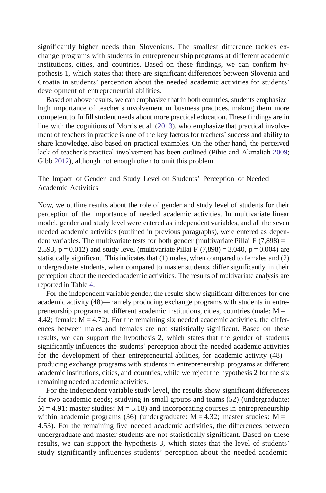significantly higher needs than Slovenians. The smallest difference tackles exchange programs with students in entrepreneurship programs at different academic institutions, cities, and countries. Based on these findings, we can confirm hypothesis 1, which states that there are significant differences between Slovenia and Croatia in students' perception about the needed academic activities for students' development of entrepreneurial abilities.

Based on above results, we can emphasize that in both countries, students emphasize high importance of teacher's involvement in business practices, making them more competent to fulfill student needs about more practical education. These findings are in line with the cognitions of Morris et al. (2013), who emphasize that practical involvement of teachersin practice is one of the key factors for teachers' success and ability to share knowledge, also based on practical examples. On the other hand, the perceived lack of teacher's practical involvement has been outlined (Pihie and Akmaliah 2009; Gibb 2012), although not enough often to omit this problem.

The Impact of Gender and Study Level on Students' Perception of Needed Academic Activities

Now, we outline results about the role of gender and study level of students for their perception of the importance of needed academic activities. In multivariate linear model, gender and study level were entered as independent variables, and all the seven needed academic activities (outlined in previous paragraphs), were entered as dependent variables. The multivariate tests for both gender (multivariate Pillai F  $(7,898)$  = 2.593,  $p = 0.012$ ) and study level (multivariate Pillai F (7,898) = 3.040,  $p = 0.004$ ) are statistically significant. This indicates that (1) males, when compared to females and (2) undergraduate students, when compared to master students, differ significantly in their perception about the needed academic activities. The results of multivariate analysis are reported in Table 4.

For the independent variable gender, the results show significant differences for one academic activity (48)—namely producing exchange programs with students in entrepreneurship programs at different academic institutions, cities, countries (male:  $M =$ 4.42; female:  $M = 4.72$ ). For the remaining six needed academic activities, the differences between males and females are not statistically significant. Based on these results, we can support the hypothesis 2, which states that the gender of students significantly influences the students' perception about the needed academic activities for the development of their entrepreneurial abilities, for academic activity (48) producing exchange programs with students in entrepreneurship programs at different academic institutions, cities, and countries; while we reject the hypothesis 2 for the six remaining needed academic activities.

For the independent variable study level, the results show significant differences for two academic needs; studying in small groups and teams (52) (undergraduate:  $M = 4.91$ ; master studies:  $M = 5.18$ ) and incorporating courses in entrepreneurship within academic programs (36) (undergraduate:  $M = 4.32$ ; master studies:  $M =$ 4.53). For the remaining five needed academic activities, the differences between undergraduate and master students are not statistically significant. Based on these results, we can support the hypothesis 3, which states that the level of students' study significantly influences students' perception about the needed academic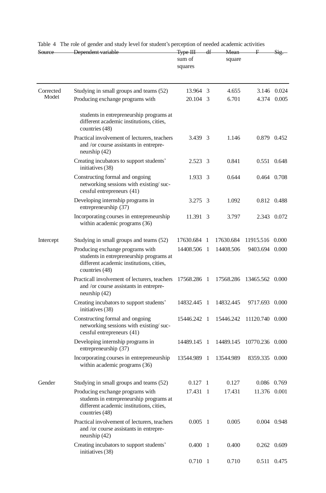| Source             | Dependent variable                                                                                                                         | <del>Type III</del><br>sum of<br>squares |     | square    |                 |             |
|--------------------|--------------------------------------------------------------------------------------------------------------------------------------------|------------------------------------------|-----|-----------|-----------------|-------------|
| Corrected<br>Model | Studying in small groups and teams (52)                                                                                                    | 13.964 3                                 |     | 4.655     |                 | 3.146 0.024 |
|                    | Producing exchange programs with                                                                                                           | 20.104 3                                 |     | 6.701     |                 | 4.374 0.005 |
|                    | students in entrepreneurship programs at<br>different academic institutions, cities,<br>countries (48)                                     |                                          |     |           |                 |             |
|                    | Practical involvement of lecturers, teachers<br>and /or course assistants in entrepre-<br>neurship $(42)$                                  | 3.439 3                                  |     | 1.146     |                 | 0.879 0.452 |
|                    | Creating incubators to support students'<br>initiatives (38)                                                                               | 2.523 3                                  |     | 0.841     |                 | 0.551 0.648 |
|                    | Constructing formal and ongoing<br>networking sessions with existing/suc-<br>cessful entrepreneurs (41)                                    | 1.933 3                                  |     | 0.644     |                 | 0.464 0.708 |
|                    | Developing internship programs in<br>entrepreneurship (37)                                                                                 | 3.275 3                                  |     | 1.092     |                 | 0.812 0.488 |
|                    | Incorporating courses in entrepreneurship<br>within academic programs (36)                                                                 | 11.391 3                                 |     | 3.797     |                 | 2.343 0.072 |
| Intercept          | Studying in small groups and teams (52)                                                                                                    | 17630.684                                | -1  | 17630.684 | 11915.516 0.000 |             |
|                    | Producing exchange programs with<br>students in entrepreneurship programs at<br>different academic institutions, cities,<br>countries (48) | 14408.506                                | - 1 | 14408.506 | 9403.694 0.000  |             |
|                    | Practicall involvement of lecturers, teachers<br>and /or course assistants in entrepre-<br>neurship $(42)$                                 | 17568.286 1                              |     | 17568.286 | 13465.562 0.000 |             |
|                    | Creating incubators to support students'<br>initiatives (38)                                                                               | 14832.445 1                              |     | 14832.445 | 9717.693 0.000  |             |
|                    | Constructing formal and ongoing<br>networking sessions with existing/suc-<br>cessful entrepreneurs (41)                                    | 15446.242 1                              |     | 15446.242 | 11120.740 0.000 |             |
|                    | Developing internship programs in<br>entrepreneurship (37)                                                                                 | 14489.145 1                              |     | 14489.145 | 10770.236 0.000 |             |
|                    | Incorporating courses in entrepreneurship<br>within academic programs (36)                                                                 | 13544.989                                | - 1 | 13544.989 | 8359.335 0.000  |             |
| Gender             | Studying in small groups and teams (52)                                                                                                    | 0.127 1                                  |     | 0.127     |                 | 0.086 0.769 |
|                    | Producing exchange programs with<br>students in entrepreneurship programs at<br>different academic institutions, cities,<br>countries (48) | 17.431 1                                 |     | 17.431    | 11.376 0.001    |             |
|                    | Practical involvement of lecturers, teachers<br>and /or course assistants in entrepre-<br>neurship $(42)$                                  | $0.005$ 1                                |     | 0.005     |                 | 0.004 0.948 |
|                    | Creating incubators to support students'<br>initiatives (38)                                                                               | $0.400 \quad 1$                          |     | 0.400     |                 | 0.262 0.609 |
|                    |                                                                                                                                            | 0.710 1                                  |     | 0.710     |                 | 0.511 0.475 |

Table 4 The role of gender and study level for student's perception of needed academic activities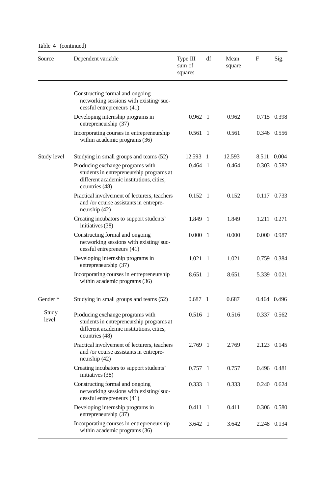Table 4 (continued)

| Source         | Dependent variable                                                                                                                         | Type III<br>sum of<br>squares | df             | Mean<br>square | $\mathbf{F}$ | Sig.        |
|----------------|--------------------------------------------------------------------------------------------------------------------------------------------|-------------------------------|----------------|----------------|--------------|-------------|
|                | Constructing formal and ongoing<br>networking sessions with existing/suc-<br>cessful entrepreneurs (41)                                    |                               |                |                |              |             |
|                | Developing internship programs in<br>entrepreneurship (37)                                                                                 | $0.962 \quad 1$               |                | 0.962          |              | 0.715 0.398 |
|                | Incorporating courses in entrepreneurship<br>within academic programs (36)                                                                 | 0.561                         | -1             | 0.561          |              | 0.346 0.556 |
| Study level    | Studying in small groups and teams (52)                                                                                                    | 12.593                        | -1             | 12.593         | 8.511        | 0.004       |
|                | Producing exchange programs with<br>students in entrepreneurship programs at<br>different academic institutions, cities,<br>countries (48) | $0.464$ 1                     |                | 0.464          |              | 0.303 0.582 |
|                | Practical involvement of lecturers, teachers<br>and /or course assistants in entrepre-<br>neurship (42)                                    | $0.152 \quad 1$               |                | 0.152          |              | 0.117 0.733 |
|                | Creating incubators to support students'<br>initiatives (38)                                                                               | 1.849 1                       |                | 1.849          |              | 1.211 0.271 |
|                | Constructing formal and ongoing<br>networking sessions with existing/suc-<br>cessful entrepreneurs (41)                                    | 0.000                         | $\overline{1}$ | 0.000          |              | 0.000 0.987 |
|                | Developing internship programs in<br>entrepreneurship (37)                                                                                 | 1.021                         | - 1            | 1.021          |              | 0.759 0.384 |
|                | Incorporating courses in entrepreneurship<br>within academic programs (36)                                                                 | 8.651 1                       |                | 8.651          |              | 5.339 0.021 |
| Gender*        | Studying in small groups and teams (52)                                                                                                    | $0.687$ 1                     |                | 0.687          | 0.464 0.496  |             |
| Study<br>level | Producing exchange programs with<br>students in entrepreneurship programs at<br>different academic institutions, cities,<br>countries (48) | $0.516$ 1                     |                | 0.516          |              | 0.337 0.562 |
|                | Practical involvement of lecturers, teachers<br>and /or course assistants in entrepre-<br>neurship (42)                                    | 2.769 1                       |                | 2.769          |              | 2.123 0.145 |
|                | Creating incubators to support students'<br>initiatives (38)                                                                               | $0.757$ 1                     |                | 0.757          |              | 0.496 0.481 |
|                | Constructing formal and ongoing<br>networking sessions with existing/suc-<br>cessful entrepreneurs (41)                                    | 0.333                         | -1             | 0.333          |              | 0.240 0.624 |
|                | Developing internship programs in<br>entrepreneurship (37)                                                                                 | 0.411                         | -1             | 0.411          |              | 0.306 0.580 |
|                | Incorporating courses in entrepreneurship<br>within academic programs (36)                                                                 | 3.642 1                       |                | 3.642          |              | 2.248 0.134 |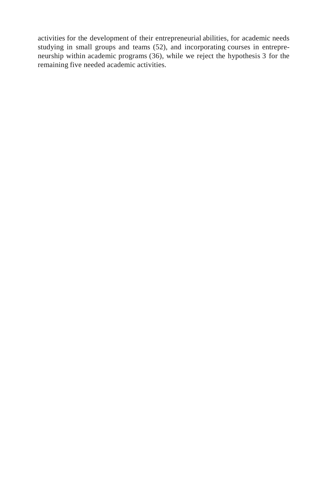activities for the development of their entrepreneurial abilities, for academic needs studying in small groups and teams (52), and incorporating courses in entrepreneurship within academic programs (36), while we reject the hypothesis 3 for the remaining five needed academic activities.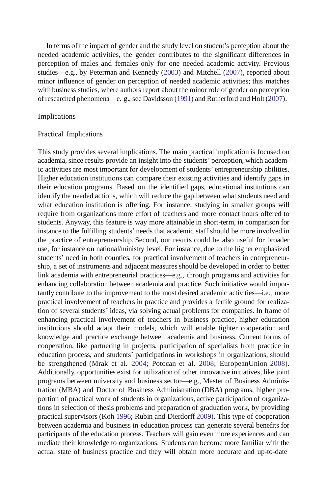In terms of the impact of gender and the study level on student's perception about the needed academic activities, the gender contributes to the significant differences in perception of males and females only for one needed academic activity. Previous studies—e.g., by Peterman and Kennedy (2003) and Mitchell (2007), reported about minor influence of gender on perception of needed academic activities; this matches with business studies, where authors report about the minor role of gender on perception ofresearched phenomena—e. g., see Davidsson (1991) and Rutherford and Holt(2007).

#### Implications

#### Practical Implications

This study provides several implications. The main practical implication is focused on academia, since results provide an insight into the students' perception, which academic activities are most important for development of students' entrepreneurship abilities. Higher education institutions can compare their existing activities and identify gaps in their education programs. Based on the identified gaps, educational institutions can identify the needed actions, which will reduce the gap between what students need and what education institution is offering. For instance, studying in smaller groups will require from organizations more effort of teachers and more contact hours offered to students. Anyway, this feature is way more attainable in short-term, in comparison for instance to the fulfilling students' needs that academic staff should be more involved in the practice of entrepreneurship. Second, our results could be also useful for broader use, for instance on national/ministry level. For instance, due to the higher emphasized students' need in both counties, for practical involvement of teachers in entrepreneurship, a set of instruments and adjacent measures should be developed in order to better link academia with entrepreneurial practices—e.g., through programs and activitiesfor enhancing collaboration between academia and practice. Such initiative would importantly contribute to the improvement to the most desired academic activities—i.e., more practical involvement of teachers in practice and provides a fertile ground for realization of several students' ideas, via solving actual problems for companies. In frame of enhancing practical involvement of teachers in business practice, higher education institutions should adapt their models, which will enable tighter cooperation and knowledge and practice exchange between academia and business. Current forms of cooperation, like partnering in projects, participation of specialists from practice in education process, and students' participations in workshops in organizations, should be strengthened (Mrak et al. 2004; Potocan et al. 2008; EuropeanUnion 2008). Additionally, opportunities exist for utilization of other innovative initiatives, like joint programs between university and business sector—e.g., Master of Business Administration (MBA) and Doctor of Business Administration (DBA) programs, higher proportion of practical work of students in organizations, active participation of organizations in selection of thesis problems and preparation of graduation work, by providing practical supervisors (Koh 1996; Rubin and Dierdorff 2009). This type of cooperation between academia and business in education process can generate several benefits for participants of the education process. Teachers will gain even more experiences and can mediate their knowledge to organizations. Students can become more familiar with the actual state of business practice and they will obtain more accurate and up-to-date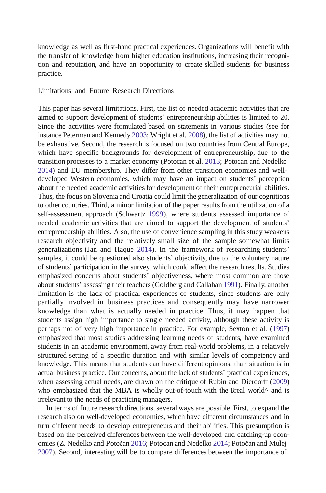knowledge as well as first-hand practical experiences. Organizations will benefit with the transfer of knowledge from higher education institutions, increasing their recognition and reputation, and have an opportunity to create skilled students for business practice.

Limitations and Future Research Directions

This paper has several limitations. First, the list of needed academic activities that are aimed to support development of students' entrepreneurship abilities is limited to 20. Since the activities were formulated based on statements in various studies (see for instance Peterman and Kennedy 2003; Wright et al. 2008), the list of activities may not be exhaustive. Second, the research is focused on two countries from Central Europe, which have specific backgrounds for development of entrepreneurship, due to the transition processes to a market economy (Potocan et al. 2013; Potocan and Nedelko 2014) and EU membership. They differ from other transition economies and welldeveloped Western economies, which may have an impact on students' perception about the needed academic activities for development of their entrepreneurial abilities. Thus, the focus on Slovenia and Croatia could limit the generalization of our cognitions to other countries. Third, a minor limitation of the paper results from the utilization of a self-assessment approach (Schwartz 1999), where students assessed importance of needed academic activities that are aimed to support the development of students' entrepreneurship abilities. Also, the use of convenience sampling in this study weakens research objectivity and the relatively small size of the sample somewhat limits generalizations (Jan and Haque 2014). In the framework of researching students' samples, it could be questioned also students' objectivity, due to the voluntary nature of students' participation in the survey, which could affect the research results. Studies emphasized concerns about students' objectiveness, where most common are those about students' assessing their teachers(Goldberg and Callahan 1991). Finally, another limitation is the lack of practical experiences of students, since students are only partially involved in business practices and consequently may have narrower knowledge than what is actually needed in practice. Thus, it may happen that students assign high importance to single needed activity, although these activity is perhaps not of very high importance in practice. For example, Sexton et al. (1997) emphasized that most studies addressing learning needs of students, have examined students in an academic environment, away from real-world problems, in a relatively structured setting of a specific duration and with similar levels of competency and knowledge. This means that students can have different opinions, than situation is in actual business practice. Our concerns, about the lack of students' practical experiences, when assessing actual needs, are drawn on the critique of Rubin and Dierdorff (2009) who emphasized that the MBA is wholly out-of-touch with the Breal world<sup>^</sup> and is irrelevant to the needs of practicing managers.

In terms of future research directions, several ways are possible. First, to expand the research also on well-developed economies, which have different circumstances and in turn different needs to develop entrepreneurs and their abilities. This presumption is based on the perceived differences between the well-developed and catching-up economies (Z. Nedelko and Potočan 2016; Potocan and Nedelko 2014; Potočan and Mulej 2007). Second, interesting will be to compare differences between the importance of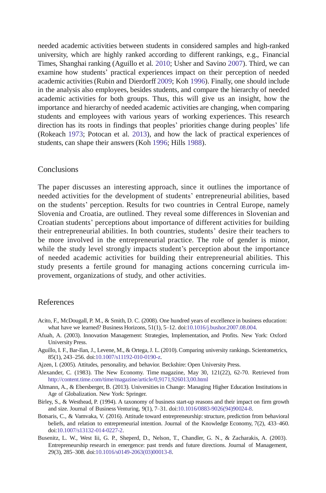needed academic activities between students in considered samples and high-ranked university, which are highly ranked according to different rankings, e.g., Financial Times, Shanghai ranking (Aguillo et al. 2010; Usher and Savino 2007). Third, we can examine how students' practical experiences impact on their perception of needed academic activities(Rubin and Dierdorff 2009; Koh 1996). Finally, one should include in the analysis also employees, besides students, and compare the hierarchy of needed academic activities for both groups. Thus, this will give us an insight, how the importance and hierarchy of needed academic activities are changing, when comparing students and employees with various years of working experiences. This research direction has its roots in findings that peoples' priorities change during peoples' life (Rokeach 1973; Potocan et al. 2013), and how the lack of practical experiences of students, can shape their answers (Koh 1996; Hills 1988).

# **Conclusions**

The paper discusses an interesting approach, since it outlines the importance of needed activities for the development of students' entrepreneurial abilities, based on the students' perception. Results for two countries in Central Europe, namely Slovenia and Croatia, are outlined. They reveal some differences in Slovenian and Croatian students' perceptions about importance of different activities for building their entrepreneurial abilities. In both countries, students' desire their teachers to be more involved in the entrepreneurial practice. The role of gender is minor, while the study level strongly impacts student's perception about the importance of needed academic activities for building their entrepreneurial abilities. This study presents a fertile ground for managing actions concerning curricula improvement, organizations of study, and other activities.

# References

- Acito, F., McDougall, P. M., & Smith, D. C. (2008). One hundred years of excellence in business education: what have we learned? Business Horizons, 51(1), 5–12. do[i:10.1016/j.bushor.2007.08.004.](http://dx.doi.org/10.1016/j.bushor.2007.08.004)
- Afuah, A. (2003). Innovation Management: Strategies, Implementation, and Profits. New York: Oxford University Press.
- Aguillo, I. F., Bar-Ilan, J., Levene, M., & Ortega,J. L. (2010). Comparing university rankings. Scientometrics, 85(1), 243–256. doi[:10.1007/s11192-010-0190-z.](http://dx.doi.org/10.1007/s11192-010-0190-z)
- Ajzen, I. (2005). Attitudes, personality, and behavior. Beckshire: Open University Press.
- Alexander, C. (1983). The New Economy. Time magazine, May 30, 121(22), 62-70. Retrieved from <http://content.time.com/time/magazine/article/0,9171,926013,00.html>
- Altmann, A., & Ebersberger, B. (2013). Universitiesin Change: Managing Higher Education Institutionsin Age of Globalization. New York: Springer.
- Birley, S., & Westhead, P. (1994). A taxonomy of business start-up reasons and their impact on firm growth and size. Journal of Business Venturing, 9(1), 7–31. do[i:10.1016/0883-9026\(94\)90024-8.](http://dx.doi.org/10.1016/0883-9026(94)90024-8)
- Botsaris, C., & Vamvaka, V. (2016). Attitude toward entrepreneurship: structure, prediction from behavioral beliefs, and relation to entrepreneurial intention. Journal of the Knowledge Economy, 7(2), 433–460. do[i:10.1007/s13132-014-0227-2.](http://dx.doi.org/10.1007/s13132-014-0227-2)
- Busenitz, L. W., West Iii, G. P., Sheperd, D., Nelson, T., Chandler, G. N., & Zacharakis, A. (2003). Entrepreneurship research in emergence: past trends and future directions. Journal of Management, 29(3), 285–308. do[i:10.1016/s0149-2063\(03\)00013-8.](http://dx.doi.org/10.1016/s0149-2063(03)00013-8)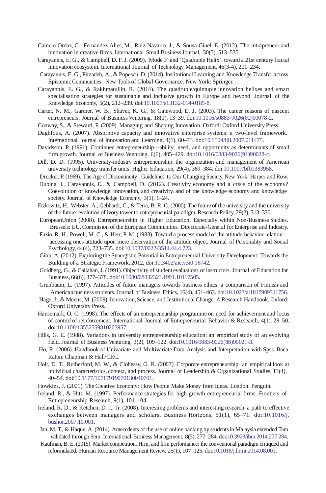- Camelo-Ordaz, C., Fernandez-Alles, M., Ruiz-Navarro, J., & Sousa-Ginel, E. (2012). The intrapreneur and innovation in creative firms. International Small Business Journal, 30(5), 513–535.
- Carayannis, E. G., & Campbell, D. F. J. (2009). 'Mode 3' and 'Quadruple Helix': toward a 21st century fractal innovation ecosystem. International Journal of Technology Management, 46(3-4), 201–234.
- Carayannis, E. G., Pirzadeh, A., & Popescu, D. (2014). Institutional Learning and Knowledge Transfer across EpistemicCommunities: New Tools of Global Governance. New York: Springer.
- Carayannis, E. G., & Rakhmatullin, R. (2014). The quadruple/quintuple innovation helixes and smart specialisation strategies for sustainable and inclusive growth in Europe and beyond. Journal of the Knowledge Economy, 5(2), 212–239. do[i:10.1007/s13132-014-0185-8.](http://dx.doi.org/10.1007/s13132-014-0185-8)
- Carter, N. M., Gartner, W. B., Shaver, K. G., & Gatewood, E. J. (2003). The career reasons of nascent entrepreneurs. Journal of Business Venturing, 18(1), 13–39. do[i:10.1016/s0883-9026\(02\)00078-2.](http://dx.doi.org/10.1016/s0883-9026(02)00078-2)
- Conway, S., & Steward, F. (2009). Managing and Shaping Innovation. Oxford: Oxford University Press.
- Daghfous, A. (2007). Absorptive capacity and innovative enterprise systems: a two-level framework. International Journal of Innovation and Learning, 4(1), 60–73. do[i:10.1504/ijil.2007.011475.](http://dx.doi.org/10.1504/ijil.2007.011475)
- Davidsson, P. (1991). Continued entrepreneurship—ability, need, and opportunity as determinants of small firm growth. Journal of Business Venturing, 6(6), 405–429. do[i:10.1016/0883-9026\(91\)90028-c.](http://dx.doi.org/10.1016/0883-9026(91)90028-c)
- Dill, D. D. (1995). University-industry entrepreneurship: the organization and management of American university technology transfer units. Higher Education, 29(4), 369–384. do[i:10.1007/bf01383958.](http://dx.doi.org/10.1007/bf01383958)
- Drucker, P. (1969). The Age of Discontinuity: Guidelines to Our Changing Society. New York: Harper and Row.
- Dubina, I., Carayannis, E., & Campbell, D. (2012). Creativity economy and a crisis of the economy? Coevolution of knowledge, innovation, and creativity, and of the knowledge economy and knowledge society. Journal of Knowledge Economy, 3(1), 1–24.
- Etzkowitz, H., Webster, A., Gebhardt, C., & Terra, B. R. C. (2000). The future of the university and the university of the future: evolution of ivory tower to entrepreneurial paradigm. Research Policy, 29(2), 313–330.
- EuropeanUnion (2008). Entrepreneurship in Higher Education, Especially within Non-Business Studies. Brussels: EU, Commision of the European Communities, Directorate-General for Enterprise and Industry.
- Fazio, R. H., Powell, M. C., & Herr, P. M. (1983). Toward a process model of the attitude-behavior relation accessing ones attitude upon mere observation of the attitude object. Journal of Personality and Social Psychology, 44(4), 723–735. do[i:10.1037/0022-3514.44.4.723.](http://dx.doi.org/10.1037/0022-3514.44.4.723)
- Gibb, A. (2012). Exploring the Synergistic Potential in Entrepreneurial University Development: Towards the Building of a Strategic Framework. 2012, do[i:10.3402/aie.v3i0.16742.](http://dx.doi.org/10.3402/aie.v3i0.16742)
- Goldberg, G., & Callahan, J. (1991). Objectivity of student evaluations of instructors. Journal of Education for Business, 66(6), 377–378. do[i:10.1080/08832323.1991.10117505.](http://dx.doi.org/10.1080/08832323.1991.10117505)
- Grunbaum, L. (1997). Attitudes of future managers towards business ethics: a comparison of Finnish and American business students.Journal of Business Ethics, 16(4), 451–463. do[i:10.1023/a:1017909311756.](http://dx.doi.org/10.1023/a:1017909311756)
- Hage,J., & Meeus, M. (2009). Innovation, Science, and Institutional Change: A Research Handbook. Oxford: Oxford University Press.
- Hansemark, O. C. (1998). The effects of an entrepreneurship programme on need for achievement and locus of control of reinforcement. International Journal of Entrepreneurial Behavior & Research, 4(1), 28–50. do[i:10.1108/13552559810203957.](http://dx.doi.org/10.1108/13552559810203957)
- Hills, G. E. (1988). Variations in university entrepreneurship education: an empirical study of an evolving field. Journal of Business Venturing, 3(2), 109–122. do[i:10.1016/0883-9026\(88\)90021-3.](http://dx.doi.org/10.1016/0883-9026(88)90021-3)
- Ho, R. (2006). Handbook of Univariate and Multivariate Data Analysis and Interpretation with Spss. Boca Raton: Chapman & Hall/CRC.
- Holt, D. T., Rutherford, M. W., & Clohessy, G. R. (2007). Corporate entrepreneurship: an empirical look at individual characteristics, context, and process. Journal of Leadership & Organizational Studies, 13(4), 40–54. do[i:10.1177/10717919070130040701.](http://dx.doi.org/10.1177/10717919070130040701)
- Howkins, J. (2001). The Creative Economy: How People Make Money from Ideas. London: Penguin.
- Ireland, R., & Hitt, M. (1997). Performance strategies for high growth entrepreneurial firms. Frontiers of Entrepreneurship Research, 9(1), 101–104.
- Ireland, R. D., & Ketchen, D. J., Jr. (2008). Interesting problems and interesting research: a path to effective exchanges between managers and scholars. Business Horizons, 51(1), 65–71. doi[:10.1016/j.](http://dx.doi.org/10.1016/j.bushor.2007.10.001) [bushor.2007.10.001.](http://dx.doi.org/10.1016/j.bushor.2007.10.001)
- Jan, M. T., & Haque, A. (2014). Antecedents of the use of online banking by studentsin Malaysia extended Tam validated through Sem. International Business Management, 8(5), 277–284. do[i:10.3923/ibm.2014.277.284.](http://dx.doi.org/10.3923/ibm.2014.277.284)
- Kaufman, B. E. (2015). Market competition, Hrm, and firm performance: the conventional paradigm critiqued and reformulated. Human Resource Management Review, 25(1), 107–125. do[i:10.1016/j.hrmr.2014.08.001.](http://dx.doi.org/10.1016/j.hrmr.2014.08.001)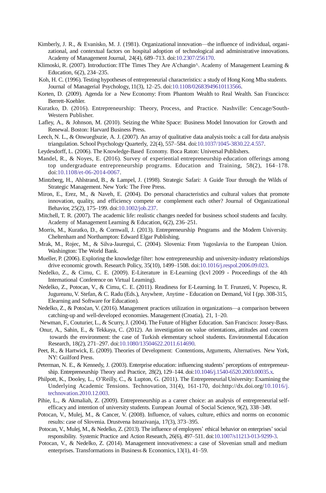- Kimberly, J. R., & Evanisko, M. J. (1981). Organizational innovation—the influence of individual, organizational, and contextual factors on hospital adoption of technological and administrative innovations. Academy of Management Journal, 24(4), 689–713. doi[:10.2307/256170.](http://dx.doi.org/10.2307/256170)
- Klimoski, R. (2007). Introduction: BThe Times They Are A'changin<sup> $\wedge$ </sup>. Academy of Management Learning & Education, 6(2), 234–235.
- Koh, H. C. (1996). Testing hypotheses of entrepreneurial characteristics: a study of Hong Kong Mba students. Journal of Managerial Psychology, 11(3), 12–25. do[i:10.1108/02683949610113566.](http://dx.doi.org/10.1108/02683949610113566)
- Korten, D. (2009). Agenda for a New Economy: From Phantom Wealth to Real Wealth. San Francisco: Berrett-Koehler.
- Kuratko, D. (2016). Entrepreneurship: Theory, Process, and Practice. Nashville: Cencage/South-Western Publisher.
- Lafley, A., & Johnson, M. (2010). Seizing the White Space: Business Model Innovation for Growth and Renewal. Boston: Harvard Business Press.
- Leech, N. L., & Onwuegbuzie, A. J. (2007). An array of qualitative data analysis tools: a call for data analysis triangulation. School PsychologyQuarterly, 22(4), 557–584. do[i:10.1037/1045-3830.22.4.557.](http://dx.doi.org/10.1037/1045-3830.22.4.557)
- Leydesdorff, L. (2006). The Knowledge-Based Economy. Boca Raton: Universal Publishers.
- Mandel, R., & Noyes, E. (2016). Survey of experiential entrepreneurship education offerings among top undergraduate entrepreneurship programs. Education and Training, 58(2), 164–178. do[i:10.1108/et-06-2014-0067.](http://dx.doi.org/10.1108/et-06-2014-0067)
- Mintzberg, H., Ahlstrand, B., & Lampel, J. (1998). Strategic Safari: A Guide Tour through the Wilds of Strategic Management. New York: The Free Press.
- Miron, E., Erez, M., & Naveh, E. (2004). Do personal characteristics and cultural values that promote innovation, quality, and efficiency compete or complement each other? Journal of Organizational Behavior, 25(2), 175–199. do[i:10.1002/job.237.](http://dx.doi.org/10.1002/job.237)
- Mitchell, T. R. (2007). The academic life: realistic changes needed for business school students and faculty. Academy of Management Learning & Education, 6(2), 236–251.
- Morris, M., Kuratko, D., & Cornwall, J. (2013). Entrepreneurship Programs and the Modern University. Cheltenham and Northampton: Edward Elgar Publishing.
- Mrak, M., Rojec, M., & Silva-Jauregui, C. (2004). Slovenia: From Yugoslavia to the European Union. Washington: The World Bank.
- Mueller, P. (2006). Exploring the knowledge filter: how entrepreneurship and university-industry relationships drive economic growth. Research Policy, 35(10), 1499–1508. do[i:10.1016/j.respol.2006.09.023.](http://dx.doi.org/10.1016/j.respol.2006.09.023)
- Nedelko, Z., & Cirnu, C. E. (2009). E-Literature in E-Learning (Icvl 2009 Proceedings of the 4th International Conference on Virtual Learning).
- Nedelko, Z., Potocan, V., & Cirnu, C. E. (2011). Readiness for E-Learning. In T. Frunzeti, V. Popescu, R. Jugureanu, V. Stefan, & C. Radu (Eds.), Anywhere, Anytime - Education on Demand, Vol I (pp. 308-315, Elearning and Software for Education).
- Nedelko, Z., & Potočan, V. (2016). Management practices utilization in organizations—a comparison between catching-up and well-developed economies. Management (Croatia), 21, 1–20.
- Newman, F., Couturier, L., & Scurry,J. (2004). The Future of Higher Education. San Francisco: Jossey-Bass.
- Onur, A., Sahin, E., & Tekkaya, C. (2012). An investigation on value orientations, attitudes and concern towards the environment: the case of Turkish elementary school students. Environmental Education Research, 18(2), 271–297. do[i:10.1080/13504622.2011.614690.](http://dx.doi.org/10.1080/13504622.2011.614690)
- Peet, R., & Hartwick, E. (2009). Theories of Development: Contentions, Arguments, Alternatives. New York, NY: Guilford Press.
- Peterman, N. E., & Kennedy, J. (2003). Enterprise education: influencing students' perceptions of entrepreneurship. Entrepreneurship Theory and Practice, 28(2), 129–144. do[i:10.1046/j.1540-6520.2003.00035.x.](http://dx.doi.org/10.1046/j.1540-6520.2003.00035.x)
- Philpott, K., Dooley, L., O'Reilly, C., & Lupton, G. (2011). The Entrepreneurial University: Examining the Underlying Academic Tensions. Technovation, 31(4), 161-170, [doi:http://dx.doi.org/](http://dx.doi.org/)[10.1016/j.](http://dx.doi.org/10.1016/j.technovation.2010.12.003) [technovation.2010.12.003.](http://dx.doi.org/10.1016/j.technovation.2010.12.003)
- Pihie, L., & Akmaliah, Z. (2009). Entrepreneurship as a career choice: an analysis of entrepreneurial selfefficacy and intention of university students. European Journal of Social Science, 9(2), 338–349.
- Potocan, V., Mulej, M., & Cancer, V. (2008). Influence, of values, culture, ethics and norms on economic results: case of Slovenia. Drustvena Istrazivanja, 17(3), 373–395.
- Potocan, V., Mulej, M., & Nedelko, Z. (2013). The influence of employees' ethical behavior on enterprises'social responsibility. Systemic Practice and Action Research, 26(6), 497–511. do[i:10.1007/s11213-013-9299-3.](http://dx.doi.org/10.1007/s11213-013-9299-3)
- Potocan, V., & Nedelko, Z. (2014). Management innovativeness: a case of Slovenian small and medium enterprises. Transformations in Business & Economics, 13(1), 41–59.